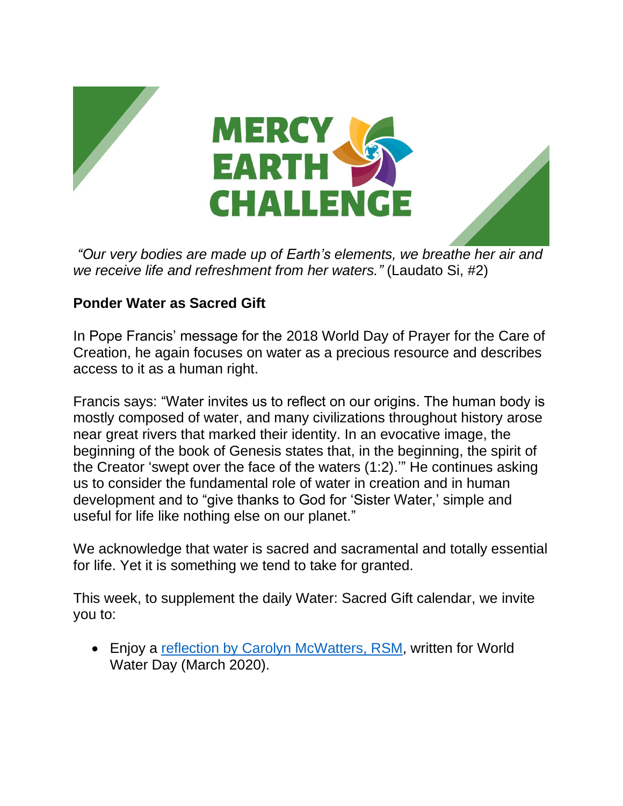

*"Our very bodies are made up of Earth's elements, we breathe her air and we receive life and refreshment from her waters."* (Laudato Si, #2)

## **Ponder Water as Sacred Gift**

In Pope Francis' message for the 2018 World Day of Prayer for the Care of Creation, he again focuses on water as a precious resource and describes access to it as a human right.

Francis says: "Water invites us to reflect on our origins. The human body is mostly composed of water, and many civilizations throughout history arose near great rivers that marked their identity. In an evocative image, the beginning of the book of Genesis states that, in the beginning, the spirit of the Creator 'swept over the face of the waters (1:2).'" He continues asking us to consider the fundamental role of water in creation and in human development and to "give thanks to God for 'Sister Water,' simple and useful for life like nothing else on our planet."

We acknowledge that water is sacred and sacramental and totally essential for life. Yet it is something we tend to take for granted.

This week, to supplement the daily Water: Sacred Gift calendar, we invite you to:

• Enjoy a [reflection by Carolyn](https://www.mercyworld.org/f/45074/x/b87aec27f8/carolyn-mcwattersrsm-world-water-day-2020-usletter.pdf) McWatters, RSM, written for World Water Day (March 2020).